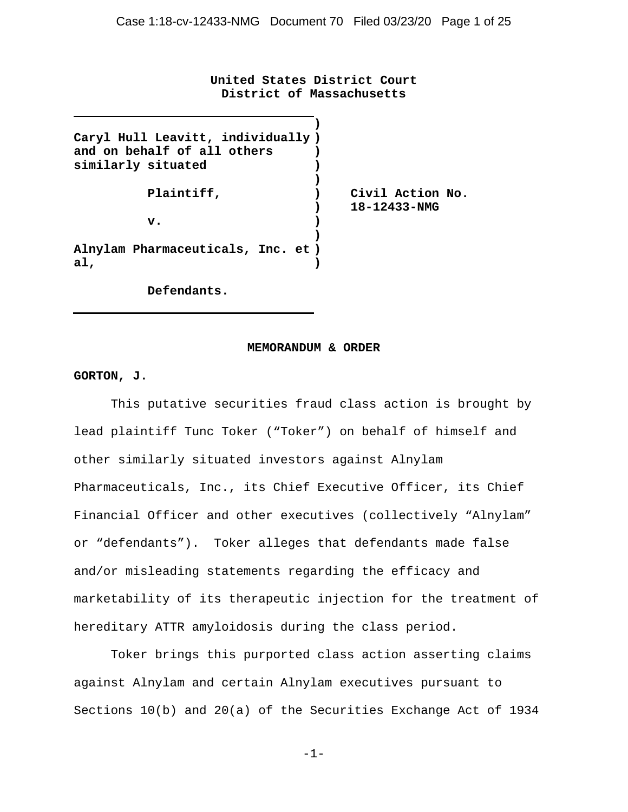**United States District Court District of Massachusetts**

| Caryl Hull Leavitt, individually) |                  |  |
|-----------------------------------|------------------|--|
| and on behalf of all others       |                  |  |
| similarly situated                |                  |  |
|                                   |                  |  |
| Plaintiff,                        | Civil Action No. |  |
|                                   | 18-12433-NMG     |  |
| v.                                |                  |  |
|                                   |                  |  |
| Alnylam Pharmaceuticals, Inc. et) |                  |  |
| al,                               |                  |  |
|                                   |                  |  |

 **Defendants.**

#### **MEMORANDUM & ORDER**

### **GORTON, J.**

This putative securities fraud class action is brought by lead plaintiff Tunc Toker ("Toker") on behalf of himself and other similarly situated investors against Alnylam Pharmaceuticals, Inc., its Chief Executive Officer, its Chief Financial Officer and other executives (collectively "Alnylam" or "defendants"). Toker alleges that defendants made false and/or misleading statements regarding the efficacy and marketability of its therapeutic injection for the treatment of hereditary ATTR amyloidosis during the class period.

Toker brings this purported class action asserting claims against Alnylam and certain Alnylam executives pursuant to Sections 10(b) and 20(a) of the Securities Exchange Act of 1934

-1-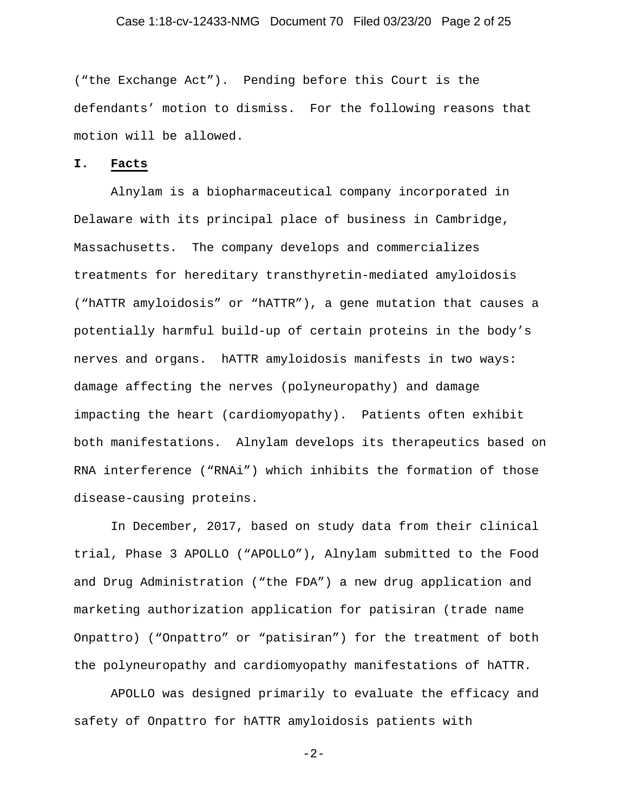# Case 1:18-cv-12433-NMG Document 70 Filed 03/23/20 Page 2 of 25

("the Exchange Act"). Pending before this Court is the defendants' motion to dismiss. For the following reasons that motion will be allowed.

### **I. Facts**

Alnylam is a biopharmaceutical company incorporated in Delaware with its principal place of business in Cambridge, Massachusetts. The company develops and commercializes treatments for hereditary transthyretin-mediated amyloidosis ("hATTR amyloidosis" or "hATTR"), a gene mutation that causes a potentially harmful build-up of certain proteins in the body's nerves and organs. hATTR amyloidosis manifests in two ways: damage affecting the nerves (polyneuropathy) and damage impacting the heart (cardiomyopathy). Patients often exhibit both manifestations. Alnylam develops its therapeutics based on RNA interference ("RNAi") which inhibits the formation of those disease-causing proteins.

In December, 2017, based on study data from their clinical trial, Phase 3 APOLLO ("APOLLO"), Alnylam submitted to the Food and Drug Administration ("the FDA") a new drug application and marketing authorization application for patisiran (trade name Onpattro) ("Onpattro" or "patisiran") for the treatment of both the polyneuropathy and cardiomyopathy manifestations of hATTR.

APOLLO was designed primarily to evaluate the efficacy and safety of Onpattro for hATTR amyloidosis patients with

-2-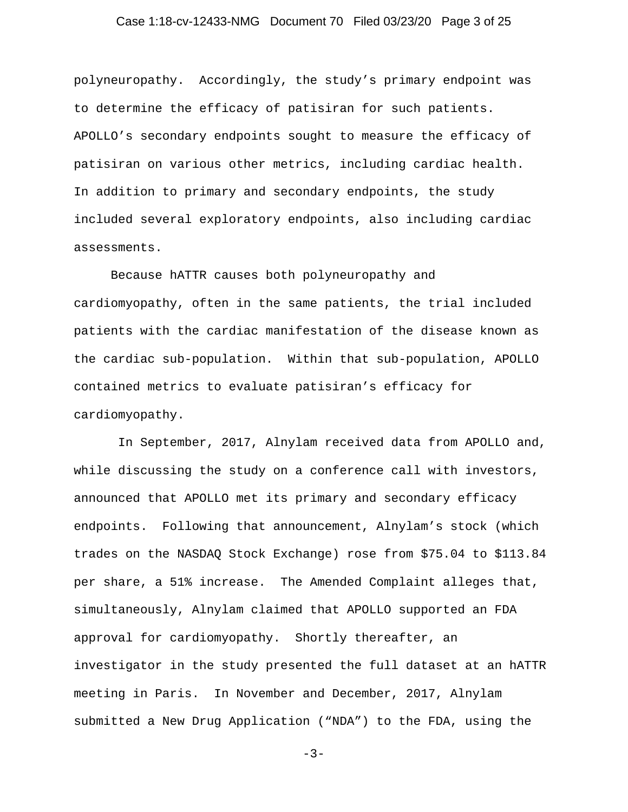# Case 1:18-cv-12433-NMG Document 70 Filed 03/23/20 Page 3 of 25

polyneuropathy. Accordingly, the study's primary endpoint was to determine the efficacy of patisiran for such patients. APOLLO's secondary endpoints sought to measure the efficacy of patisiran on various other metrics, including cardiac health. In addition to primary and secondary endpoints, the study included several exploratory endpoints, also including cardiac assessments.

Because hATTR causes both polyneuropathy and cardiomyopathy, often in the same patients, the trial included patients with the cardiac manifestation of the disease known as the cardiac sub-population. Within that sub-population, APOLLO contained metrics to evaluate patisiran's efficacy for cardiomyopathy.

In September, 2017, Alnylam received data from APOLLO and, while discussing the study on a conference call with investors, announced that APOLLO met its primary and secondary efficacy endpoints. Following that announcement, Alnylam's stock (which trades on the NASDAQ Stock Exchange) rose from \$75.04 to \$113.84 per share, a 51% increase. The Amended Complaint alleges that, simultaneously, Alnylam claimed that APOLLO supported an FDA approval for cardiomyopathy. Shortly thereafter, an investigator in the study presented the full dataset at an hATTR meeting in Paris. In November and December, 2017, Alnylam submitted a New Drug Application ("NDA") to the FDA, using the

 $-3-$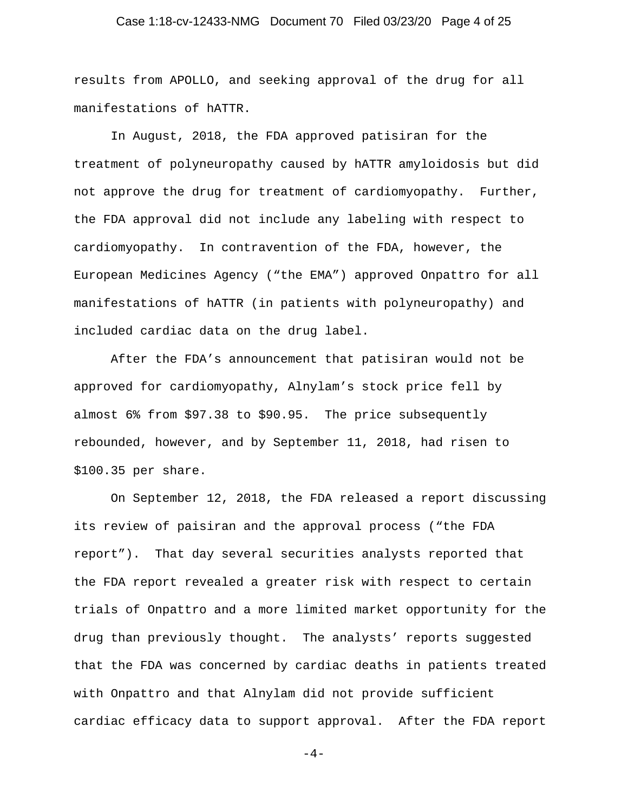# Case 1:18-cv-12433-NMG Document 70 Filed 03/23/20 Page 4 of 25

results from APOLLO, and seeking approval of the drug for all manifestations of hATTR.

In August, 2018, the FDA approved patisiran for the treatment of polyneuropathy caused by hATTR amyloidosis but did not approve the drug for treatment of cardiomyopathy. Further, the FDA approval did not include any labeling with respect to cardiomyopathy. In contravention of the FDA, however, the European Medicines Agency ("the EMA") approved Onpattro for all manifestations of hATTR (in patients with polyneuropathy) and included cardiac data on the drug label.

After the FDA's announcement that patisiran would not be approved for cardiomyopathy, Alnylam's stock price fell by almost 6% from \$97.38 to \$90.95. The price subsequently rebounded, however, and by September 11, 2018, had risen to \$100.35 per share.

On September 12, 2018, the FDA released a report discussing its review of paisiran and the approval process ("the FDA report"). That day several securities analysts reported that the FDA report revealed a greater risk with respect to certain trials of Onpattro and a more limited market opportunity for the drug than previously thought. The analysts' reports suggested that the FDA was concerned by cardiac deaths in patients treated with Onpattro and that Alnylam did not provide sufficient cardiac efficacy data to support approval. After the FDA report

 $-4-$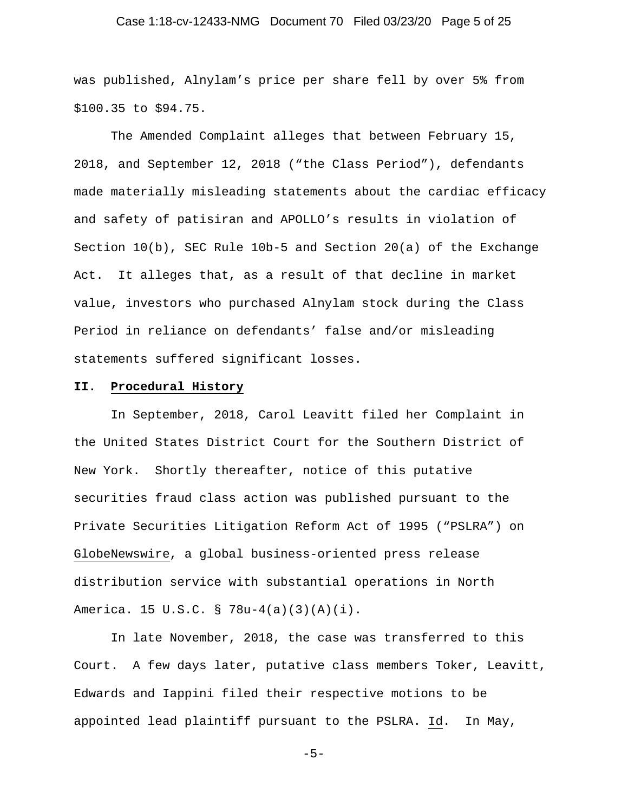# Case 1:18-cv-12433-NMG Document 70 Filed 03/23/20 Page 5 of 25

was published, Alnylam's price per share fell by over 5% from \$100.35 to \$94.75.

The Amended Complaint alleges that between February 15, 2018, and September 12, 2018 ("the Class Period"), defendants made materially misleading statements about the cardiac efficacy and safety of patisiran and APOLLO's results in violation of Section 10(b), SEC Rule 10b-5 and Section 20(a) of the Exchange Act. It alleges that, as a result of that decline in market value, investors who purchased Alnylam stock during the Class Period in reliance on defendants' false and/or misleading statements suffered significant losses.

### **II. Procedural History**

In September, 2018, Carol Leavitt filed her Complaint in the United States District Court for the Southern District of New York. Shortly thereafter, notice of this putative securities fraud class action was published pursuant to the Private Securities Litigation Reform Act of 1995 ("PSLRA") on GlobeNewswire, a global business-oriented press release distribution service with substantial operations in North America. 15 U.S.C. § 78u-4(a)(3)(A)(i).

In late November, 2018, the case was transferred to this Court. A few days later, putative class members Toker, Leavitt, Edwards and Iappini filed their respective motions to be appointed lead plaintiff pursuant to the PSLRA. Id. In May,

-5-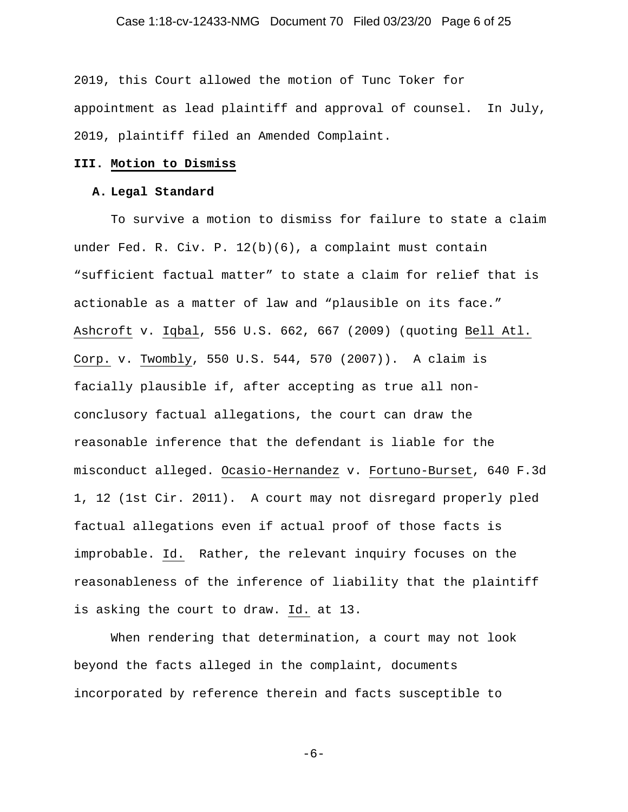# Case 1:18-cv-12433-NMG Document 70 Filed 03/23/20 Page 6 of 25

2019, this Court allowed the motion of Tunc Toker for appointment as lead plaintiff and approval of counsel. In July, 2019, plaintiff filed an Amended Complaint.

# **III. Motion to Dismiss**

### **A. Legal Standard**

To survive a motion to dismiss for failure to state a claim under Fed. R. Civ. P. 12(b)(6), a complaint must contain "sufficient factual matter" to state a claim for relief that is actionable as a matter of law and "plausible on its face." Ashcroft v. Iqbal, 556 U.S. 662, 667 (2009) (quoting Bell Atl. Corp. v. Twombly, 550 U.S. 544, 570 (2007)). A claim is facially plausible if, after accepting as true all nonconclusory factual allegations, the court can draw the reasonable inference that the defendant is liable for the misconduct alleged. Ocasio-Hernandez v. Fortuno-Burset, 640 F.3d 1, 12 (1st Cir. 2011). A court may not disregard properly pled factual allegations even if actual proof of those facts is improbable. Id. Rather, the relevant inquiry focuses on the reasonableness of the inference of liability that the plaintiff is asking the court to draw. Id. at 13.

When rendering that determination, a court may not look beyond the facts alleged in the complaint, documents incorporated by reference therein and facts susceptible to

$$
-6-
$$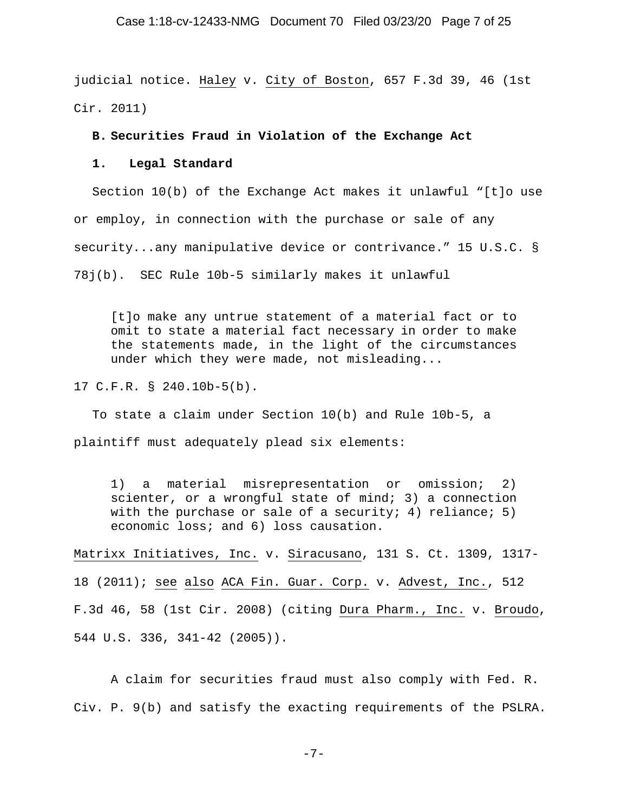### Case 1:18-cv-12433-NMG Document 70 Filed 03/23/20 Page 7 of 25

judicial notice. Haley v. City of Boston, 657 F.3d 39, 46 (1st Cir. 2011)

### **B. Securities Fraud in Violation of the Exchange Act**

### **1. Legal Standard**

Section 10(b) of the Exchange Act makes it unlawful "[t]o use or employ, in connection with the purchase or sale of any security...any manipulative device or contrivance." 15 U.S.C. § 78j(b). SEC Rule 10b-5 similarly makes it unlawful

[t]o make any untrue statement of a material fact or to omit to state a material fact necessary in order to make the statements made, in the light of the circumstances under which they were made, not misleading...

17 C.F.R. § 240.10b-5(b).

To state a claim under Section 10(b) and Rule 10b-5, a plaintiff must adequately plead six elements:

1) a material misrepresentation or omission; 2) scienter, or a wrongful state of mind; 3) a connection with the purchase or sale of a security; 4) reliance; 5) economic loss; and 6) loss causation.

Matrixx Initiatives, Inc. v. Siracusano, 131 S. Ct. 1309, 1317- 18 (2011); see also ACA Fin. Guar. Corp. v. Advest, Inc., 512 F.3d 46, 58 (1st Cir. 2008) (citing Dura Pharm., Inc. v. Broudo, 544 U.S. 336, 341-42 (2005)).

A claim for securities fraud must also comply with Fed. R. Civ. P. 9(b) and satisfy the exacting requirements of the PSLRA.

-7-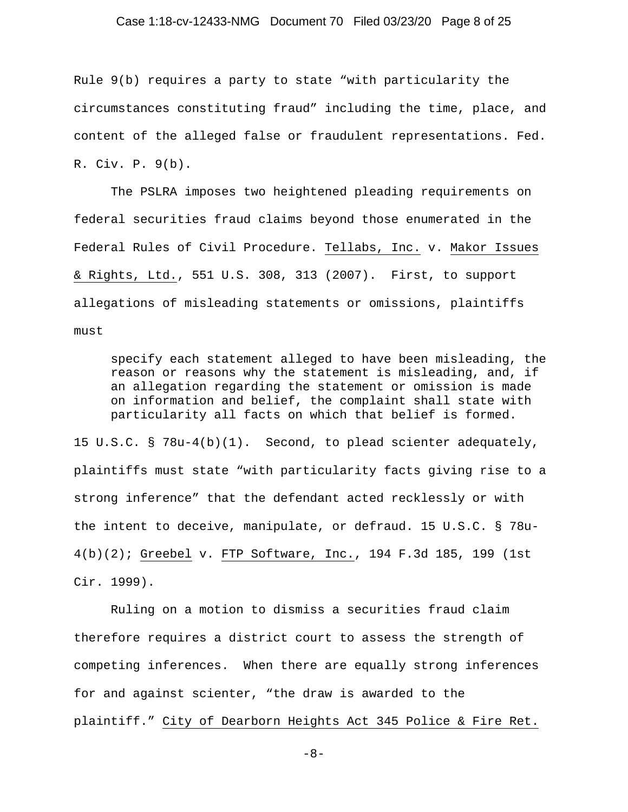### Case 1:18-cv-12433-NMG Document 70 Filed 03/23/20 Page 8 of 25

Rule 9(b) requires a party to state "with particularity the circumstances constituting fraud" including the time, place, and content of the alleged false or fraudulent representations. Fed. R. Civ. P. 9(b).

The PSLRA imposes two heightened pleading requirements on federal securities fraud claims beyond those enumerated in the Federal Rules of Civil Procedure. Tellabs, Inc. v. Makor Issues & Rights, Ltd., 551 U.S. 308, 313 (2007). First, to support allegations of misleading statements or omissions, plaintiffs must

specify each statement alleged to have been misleading, the reason or reasons why the statement is misleading, and, if an allegation regarding the statement or omission is made on information and belief, the complaint shall state with particularity all facts on which that belief is formed.

15 U.S.C. § 78u-4(b)(1). Second, to plead scienter adequately, plaintiffs must state "with particularity facts giving rise to a strong inference" that the defendant acted recklessly or with the intent to deceive, manipulate, or defraud. 15 U.S.C. § 78u-4(b)(2); Greebel v. FTP Software, Inc., 194 F.3d 185, 199 (1st Cir. 1999).

Ruling on a motion to dismiss a securities fraud claim therefore requires a district court to assess the strength of competing inferences. When there are equally strong inferences for and against scienter, "the draw is awarded to the plaintiff." City of Dearborn Heights Act 345 Police & Fire Ret.

-8-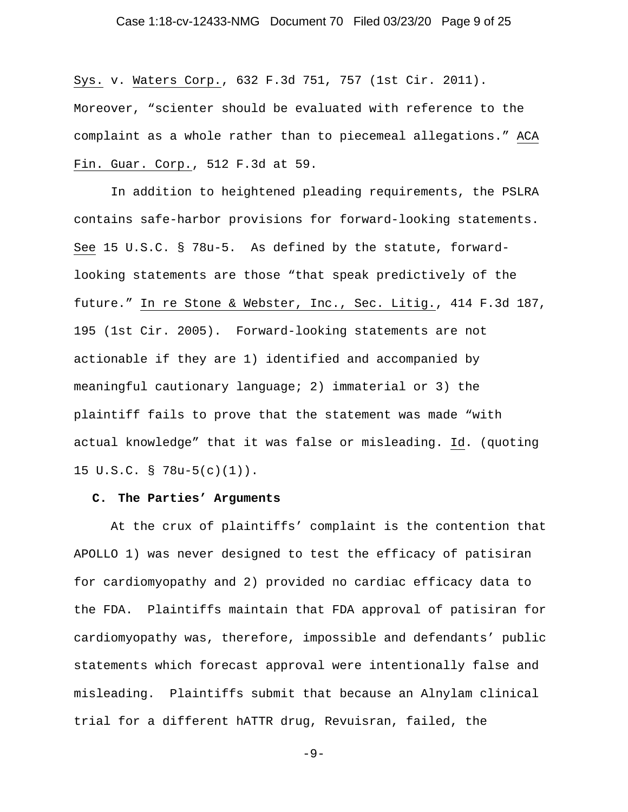# Case 1:18-cv-12433-NMG Document 70 Filed 03/23/20 Page 9 of 25

Sys. v. Waters Corp., 632 F.3d 751, 757 (1st Cir. 2011). Moreover, "scienter should be evaluated with reference to the complaint as a whole rather than to piecemeal allegations." ACA Fin. Guar. Corp., 512 F.3d at 59.

In addition to heightened pleading requirements, the PSLRA contains safe-harbor provisions for forward-looking statements. See 15 U.S.C. § 78u-5. As defined by the statute, forwardlooking statements are those "that speak predictively of the future." In re Stone & Webster, Inc., Sec. Litig., 414 F.3d 187, 195 (1st Cir. 2005). Forward-looking statements are not actionable if they are 1) identified and accompanied by meaningful cautionary language; 2) immaterial or 3) the plaintiff fails to prove that the statement was made "with actual knowledge" that it was false or misleading. Id. (quoting 15 U.S.C. § 78u-5(c)(1)).

### **C. The Parties' Arguments**

At the crux of plaintiffs' complaint is the contention that APOLLO 1) was never designed to test the efficacy of patisiran for cardiomyopathy and 2) provided no cardiac efficacy data to the FDA. Plaintiffs maintain that FDA approval of patisiran for cardiomyopathy was, therefore, impossible and defendants' public statements which forecast approval were intentionally false and misleading. Plaintiffs submit that because an Alnylam clinical trial for a different hATTR drug, Revuisran, failed, the

 $-9-$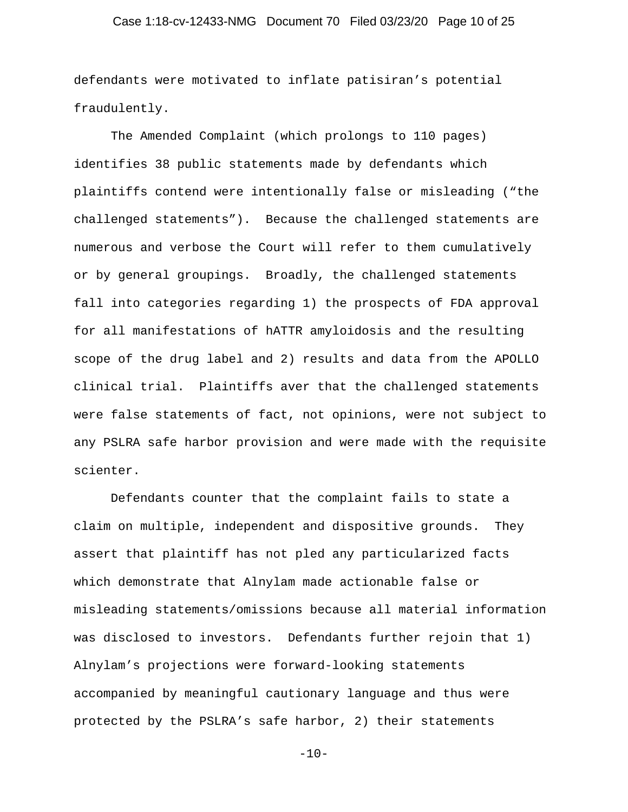# Case 1:18-cv-12433-NMG Document 70 Filed 03/23/20 Page 10 of 25

defendants were motivated to inflate patisiran's potential fraudulently.

The Amended Complaint (which prolongs to 110 pages) identifies 38 public statements made by defendants which plaintiffs contend were intentionally false or misleading ("the challenged statements"). Because the challenged statements are numerous and verbose the Court will refer to them cumulatively or by general groupings. Broadly, the challenged statements fall into categories regarding 1) the prospects of FDA approval for all manifestations of hATTR amyloidosis and the resulting scope of the drug label and 2) results and data from the APOLLO clinical trial. Plaintiffs aver that the challenged statements were false statements of fact, not opinions, were not subject to any PSLRA safe harbor provision and were made with the requisite scienter.

Defendants counter that the complaint fails to state a claim on multiple, independent and dispositive grounds. They assert that plaintiff has not pled any particularized facts which demonstrate that Alnylam made actionable false or misleading statements/omissions because all material information was disclosed to investors. Defendants further rejoin that 1) Alnylam's projections were forward-looking statements accompanied by meaningful cautionary language and thus were protected by the PSLRA's safe harbor, 2) their statements

 $-10-$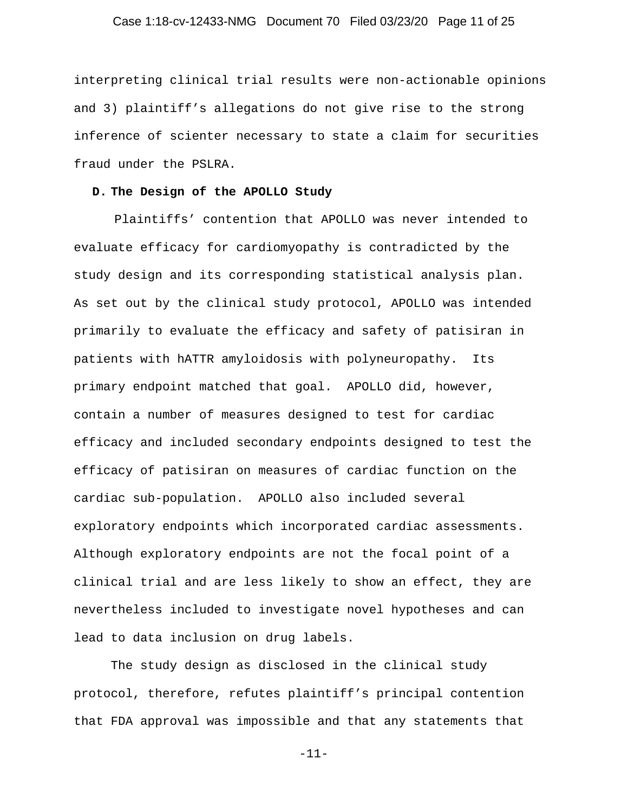# Case 1:18-cv-12433-NMG Document 70 Filed 03/23/20 Page 11 of 25

interpreting clinical trial results were non-actionable opinions and 3) plaintiff's allegations do not give rise to the strong inference of scienter necessary to state a claim for securities fraud under the PSLRA.

### **D. The Design of the APOLLO Study**

 Plaintiffs' contention that APOLLO was never intended to evaluate efficacy for cardiomyopathy is contradicted by the study design and its corresponding statistical analysis plan. As set out by the clinical study protocol, APOLLO was intended primarily to evaluate the efficacy and safety of patisiran in patients with hATTR amyloidosis with polyneuropathy. Its primary endpoint matched that goal. APOLLO did, however, contain a number of measures designed to test for cardiac efficacy and included secondary endpoints designed to test the efficacy of patisiran on measures of cardiac function on the cardiac sub-population. APOLLO also included several exploratory endpoints which incorporated cardiac assessments. Although exploratory endpoints are not the focal point of a clinical trial and are less likely to show an effect, they are nevertheless included to investigate novel hypotheses and can lead to data inclusion on drug labels.

The study design as disclosed in the clinical study protocol, therefore, refutes plaintiff's principal contention that FDA approval was impossible and that any statements that

-11-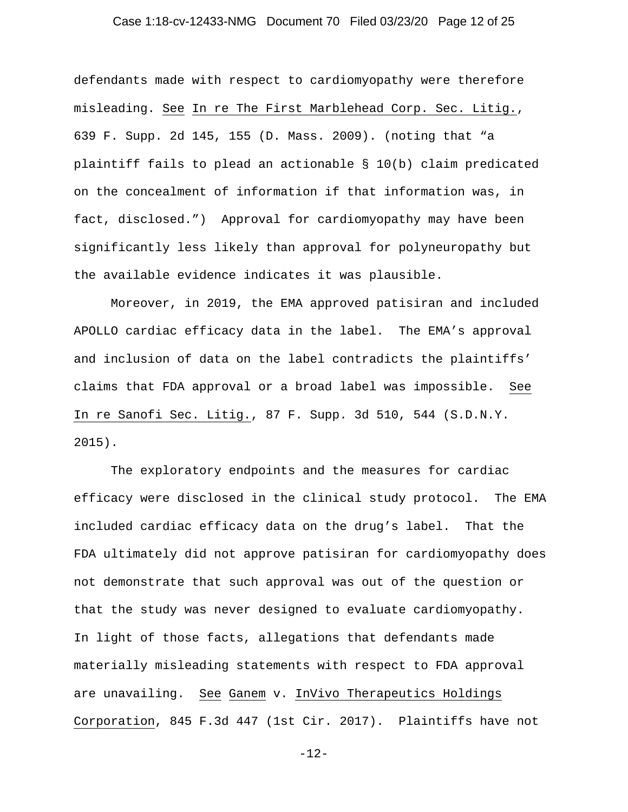# Case 1:18-cv-12433-NMG Document 70 Filed 03/23/20 Page 12 of 25

defendants made with respect to cardiomyopathy were therefore misleading. See In re The First Marblehead Corp. Sec. Litig., 639 F. Supp. 2d 145, 155 (D. Mass. 2009). (noting that "a plaintiff fails to plead an actionable § 10(b) claim predicated on the concealment of information if that information was, in fact, disclosed.") Approval for cardiomyopathy may have been significantly less likely than approval for polyneuropathy but the available evidence indicates it was plausible.

Moreover, in 2019, the EMA approved patisiran and included APOLLO cardiac efficacy data in the label. The EMA's approval and inclusion of data on the label contradicts the plaintiffs' claims that FDA approval or a broad label was impossible. See In re Sanofi Sec. Litig., 87 F. Supp. 3d 510, 544 (S.D.N.Y. 2015).

The exploratory endpoints and the measures for cardiac efficacy were disclosed in the clinical study protocol. The EMA included cardiac efficacy data on the drug's label. That the FDA ultimately did not approve patisiran for cardiomyopathy does not demonstrate that such approval was out of the question or that the study was never designed to evaluate cardiomyopathy. In light of those facts, allegations that defendants made materially misleading statements with respect to FDA approval are unavailing. See Ganem v. InVivo Therapeutics Holdings Corporation, 845 F.3d 447 (1st Cir. 2017). Plaintiffs have not

-12-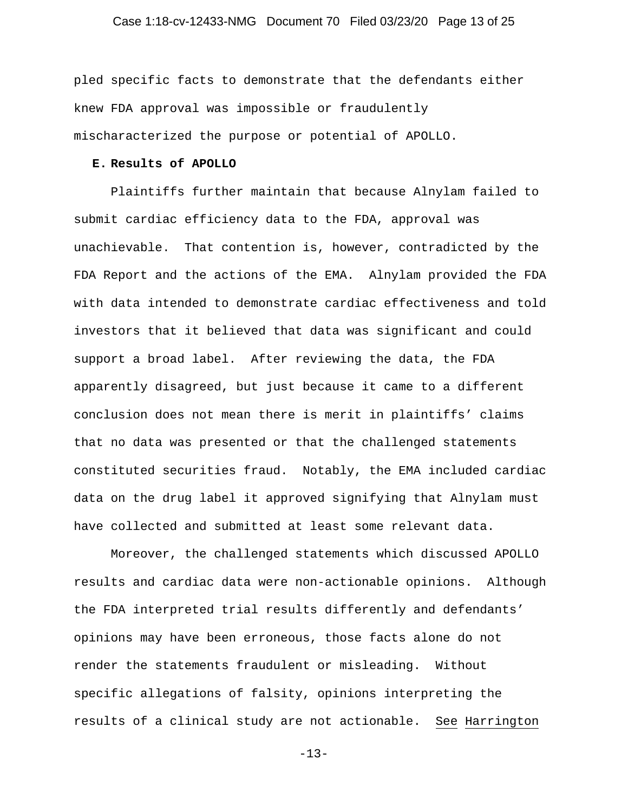# Case 1:18-cv-12433-NMG Document 70 Filed 03/23/20 Page 13 of 25

pled specific facts to demonstrate that the defendants either knew FDA approval was impossible or fraudulently mischaracterized the purpose or potential of APOLLO.

# **E. Results of APOLLO**

Plaintiffs further maintain that because Alnylam failed to submit cardiac efficiency data to the FDA, approval was unachievable. That contention is, however, contradicted by the FDA Report and the actions of the EMA. Alnylam provided the FDA with data intended to demonstrate cardiac effectiveness and told investors that it believed that data was significant and could support a broad label. After reviewing the data, the FDA apparently disagreed, but just because it came to a different conclusion does not mean there is merit in plaintiffs' claims that no data was presented or that the challenged statements constituted securities fraud. Notably, the EMA included cardiac data on the drug label it approved signifying that Alnylam must have collected and submitted at least some relevant data.

Moreover, the challenged statements which discussed APOLLO results and cardiac data were non-actionable opinions. Although the FDA interpreted trial results differently and defendants' opinions may have been erroneous, those facts alone do not render the statements fraudulent or misleading. Without specific allegations of falsity, opinions interpreting the results of a clinical study are not actionable. See Harrington

-13-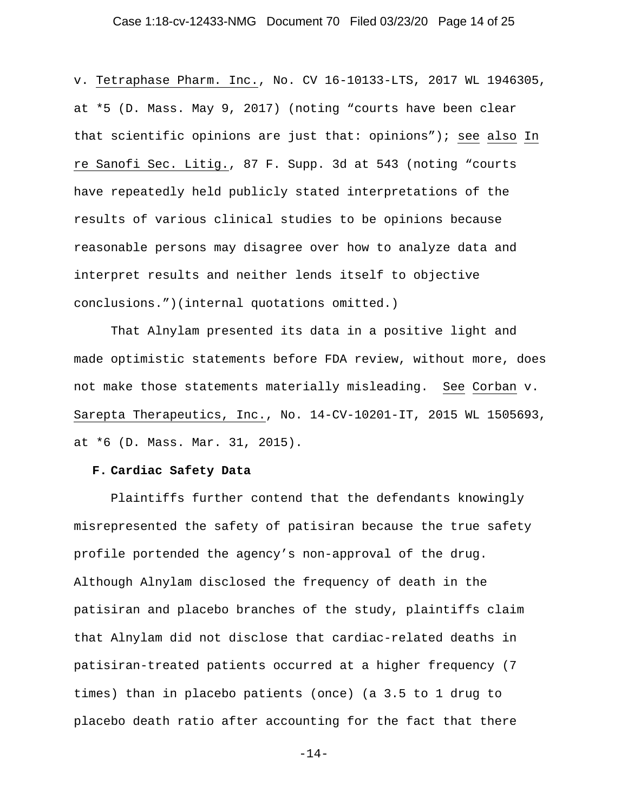# Case 1:18-cv-12433-NMG Document 70 Filed 03/23/20 Page 14 of 25

v. Tetraphase Pharm. Inc., No. CV 16-10133-LTS, 2017 WL 1946305, at \*5 (D. Mass. May 9, 2017) (noting "courts have been clear that scientific opinions are just that: opinions"); see also In re Sanofi Sec. Litig., 87 F. Supp. 3d at 543 (noting "courts have repeatedly held publicly stated interpretations of the results of various clinical studies to be opinions because reasonable persons may disagree over how to analyze data and interpret results and neither lends itself to objective conclusions.")(internal quotations omitted.)

That Alnylam presented its data in a positive light and made optimistic statements before FDA review, without more, does not make those statements materially misleading. See Corban v. Sarepta Therapeutics, Inc., No. 14-CV-10201-IT, 2015 WL 1505693, at \*6 (D. Mass. Mar. 31, 2015).

### **F. Cardiac Safety Data**

Plaintiffs further contend that the defendants knowingly misrepresented the safety of patisiran because the true safety profile portended the agency's non-approval of the drug. Although Alnylam disclosed the frequency of death in the patisiran and placebo branches of the study, plaintiffs claim that Alnylam did not disclose that cardiac-related deaths in patisiran-treated patients occurred at a higher frequency (7 times) than in placebo patients (once) (a 3.5 to 1 drug to placebo death ratio after accounting for the fact that there

-14-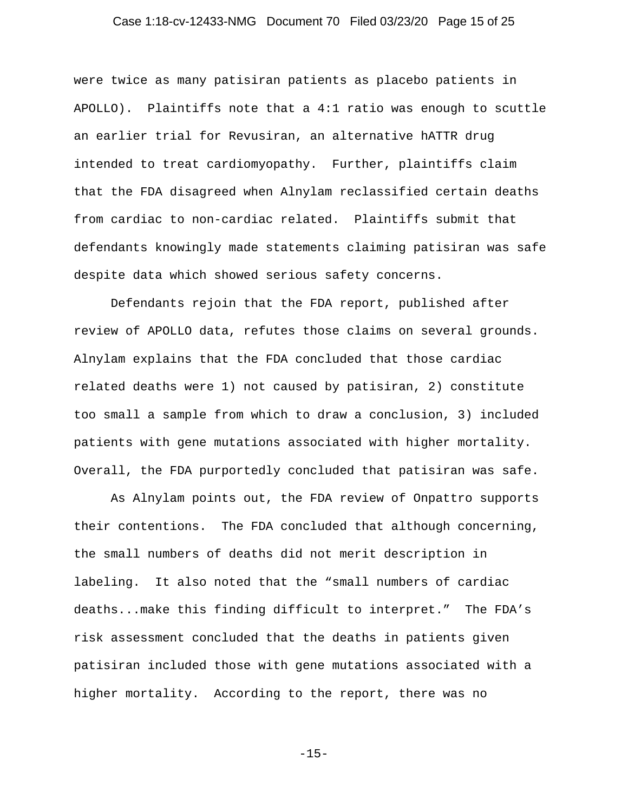# Case 1:18-cv-12433-NMG Document 70 Filed 03/23/20 Page 15 of 25

were twice as many patisiran patients as placebo patients in APOLLO). Plaintiffs note that a 4:1 ratio was enough to scuttle an earlier trial for Revusiran, an alternative hATTR drug intended to treat cardiomyopathy. Further, plaintiffs claim that the FDA disagreed when Alnylam reclassified certain deaths from cardiac to non-cardiac related. Plaintiffs submit that defendants knowingly made statements claiming patisiran was safe despite data which showed serious safety concerns.

Defendants rejoin that the FDA report, published after review of APOLLO data, refutes those claims on several grounds. Alnylam explains that the FDA concluded that those cardiac related deaths were 1) not caused by patisiran, 2) constitute too small a sample from which to draw a conclusion, 3) included patients with gene mutations associated with higher mortality. Overall, the FDA purportedly concluded that patisiran was safe.

As Alnylam points out, the FDA review of Onpattro supports their contentions. The FDA concluded that although concerning, the small numbers of deaths did not merit description in labeling. It also noted that the "small numbers of cardiac deaths...make this finding difficult to interpret." The FDA's risk assessment concluded that the deaths in patients given patisiran included those with gene mutations associated with a higher mortality. According to the report, there was no

-15-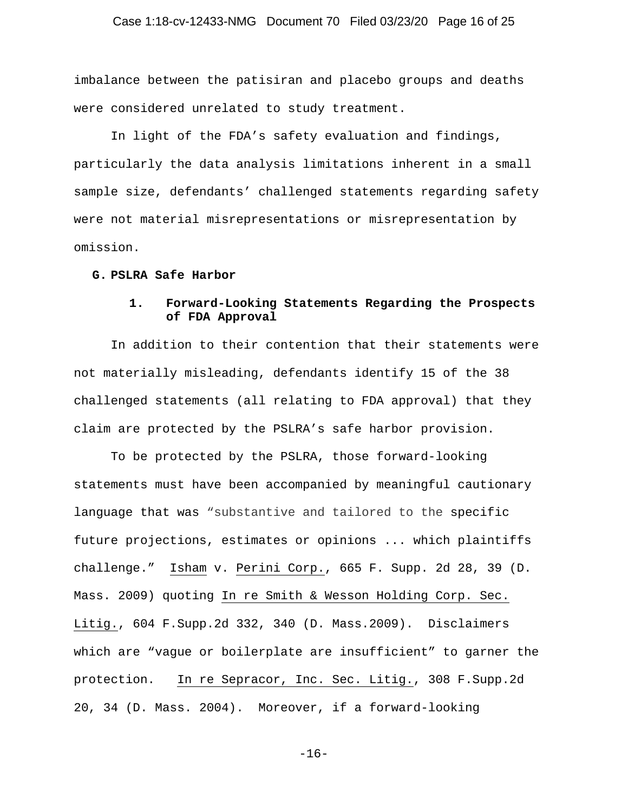# Case 1:18-cv-12433-NMG Document 70 Filed 03/23/20 Page 16 of 25

imbalance between the patisiran and placebo groups and deaths were considered unrelated to study treatment.

In light of the FDA's safety evaluation and findings, particularly the data analysis limitations inherent in a small sample size, defendants' challenged statements regarding safety were not material misrepresentations or misrepresentation by omission.

#### **G. PSLRA Safe Harbor**

# **1. Forward-Looking Statements Regarding the Prospects of FDA Approval**

In addition to their contention that their statements were not materially misleading, defendants identify 15 of the 38 challenged statements (all relating to FDA approval) that they claim are protected by the PSLRA's safe harbor provision.

To be protected by the PSLRA, those forward-looking statements must have been accompanied by meaningful cautionary language that was "substantive and tailored to the specific future projections, estimates or opinions ... which plaintiffs challenge." Isham v. Perini Corp., 665 F. Supp. 2d 28, 39 (D. Mass. 2009) quoting In re Smith & Wesson Holding Corp. Sec. Litig., 604 F.Supp.2d 332, 340 (D. Mass.2009). Disclaimers which are "vague or boilerplate are insufficient" to garner the protection. In re Sepracor, Inc. Sec. Litig., 308 F.Supp.2d 20, 34 (D. Mass. 2004). Moreover, if a forward-looking

-16-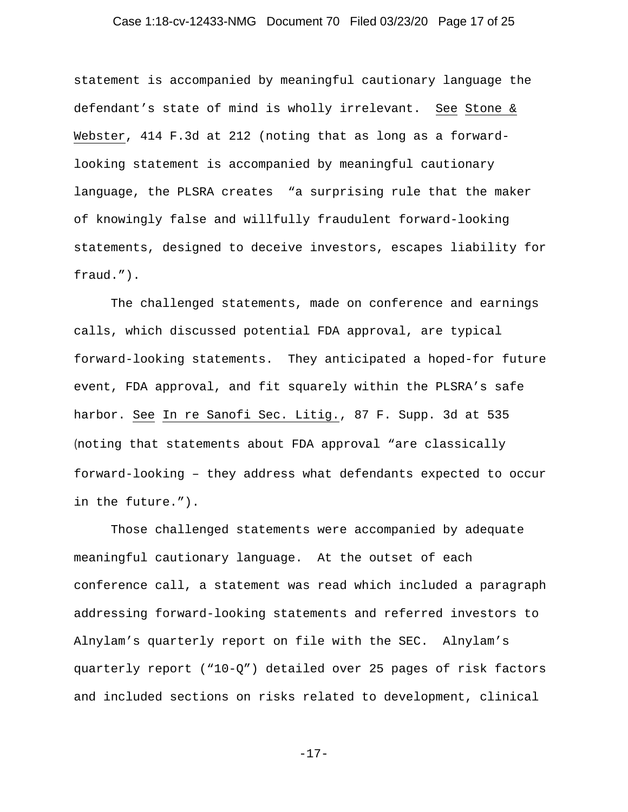# Case 1:18-cv-12433-NMG Document 70 Filed 03/23/20 Page 17 of 25

statement is accompanied by meaningful cautionary language the defendant's state of mind is wholly irrelevant. See Stone & Webster, 414 F.3d at 212 (noting that as long as a forwardlooking statement is accompanied by meaningful cautionary language, the PLSRA creates "a surprising rule that the maker of knowingly false and willfully fraudulent forward-looking statements, designed to deceive investors, escapes liability for fraud.").

The challenged statements, made on conference and earnings calls, which discussed potential FDA approval, are typical forward-looking statements. They anticipated a hoped-for future event, FDA approval, and fit squarely within the PLSRA's safe harbor. See In re Sanofi Sec. Litig., 87 F. Supp. 3d at 535 (noting that statements about FDA approval "are classically forward-looking – they address what defendants expected to occur in the future.").

Those challenged statements were accompanied by adequate meaningful cautionary language. At the outset of each conference call, a statement was read which included a paragraph addressing forward-looking statements and referred investors to Alnylam's quarterly report on file with the SEC. Alnylam's quarterly report ("10-Q") detailed over 25 pages of risk factors and included sections on risks related to development, clinical

-17-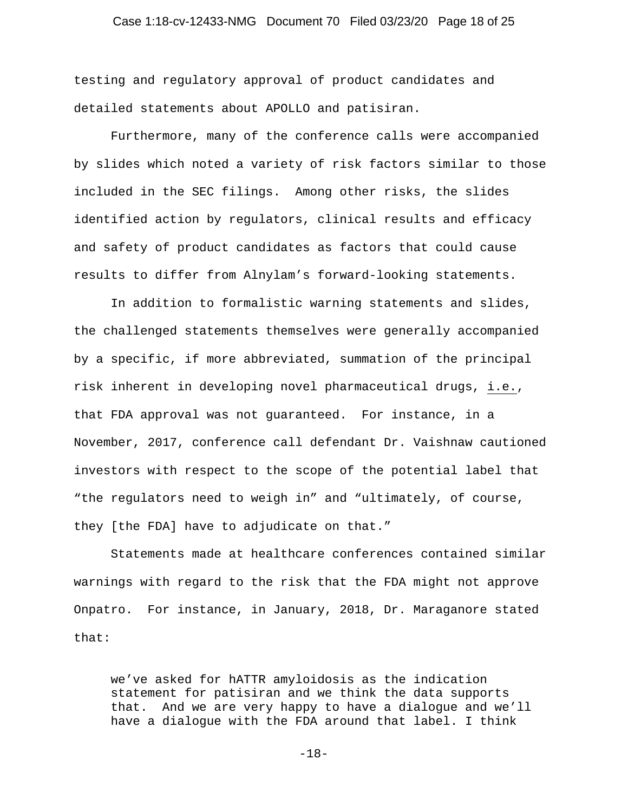# Case 1:18-cv-12433-NMG Document 70 Filed 03/23/20 Page 18 of 25

testing and regulatory approval of product candidates and detailed statements about APOLLO and patisiran.

Furthermore, many of the conference calls were accompanied by slides which noted a variety of risk factors similar to those included in the SEC filings. Among other risks, the slides identified action by regulators, clinical results and efficacy and safety of product candidates as factors that could cause results to differ from Alnylam's forward-looking statements.

In addition to formalistic warning statements and slides, the challenged statements themselves were generally accompanied by a specific, if more abbreviated, summation of the principal risk inherent in developing novel pharmaceutical drugs, i.e., that FDA approval was not guaranteed. For instance, in a November, 2017, conference call defendant Dr. Vaishnaw cautioned investors with respect to the scope of the potential label that "the regulators need to weigh in" and "ultimately, of course, they [the FDA] have to adjudicate on that."

Statements made at healthcare conferences contained similar warnings with regard to the risk that the FDA might not approve Onpatro. For instance, in January, 2018, Dr. Maraganore stated that:

we've asked for hATTR amyloidosis as the indication statement for patisiran and we think the data supports that. And we are very happy to have a dialogue and we'll have a dialogue with the FDA around that label. I think

-18-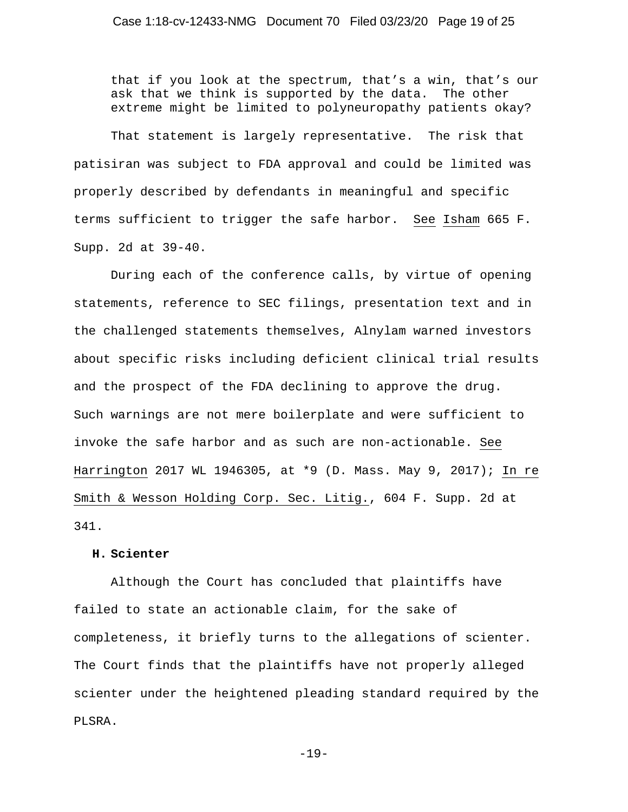that if you look at the spectrum, that's a win, that's our ask that we think is supported by the data. The other extreme might be limited to polyneuropathy patients okay?

That statement is largely representative. The risk that patisiran was subject to FDA approval and could be limited was properly described by defendants in meaningful and specific terms sufficient to trigger the safe harbor. See Isham 665 F. Supp. 2d at 39-40.

During each of the conference calls, by virtue of opening statements, reference to SEC filings, presentation text and in the challenged statements themselves, Alnylam warned investors about specific risks including deficient clinical trial results and the prospect of the FDA declining to approve the drug. Such warnings are not mere boilerplate and were sufficient to invoke the safe harbor and as such are non-actionable. See Harrington 2017 WL 1946305, at \*9 (D. Mass. May 9, 2017); In re Smith & Wesson Holding Corp. Sec. Litig., 604 F. Supp. 2d at 341.

### **H. Scienter**

Although the Court has concluded that plaintiffs have failed to state an actionable claim, for the sake of completeness, it briefly turns to the allegations of scienter. The Court finds that the plaintiffs have not properly alleged scienter under the heightened pleading standard required by the PLSRA.

-19-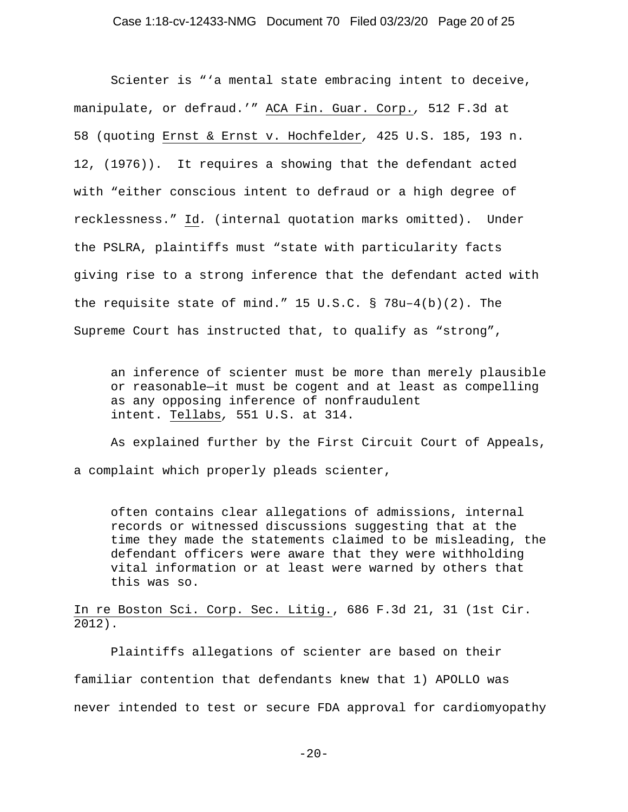Scienter is "'a mental state embracing intent to deceive, manipulate, or defraud.'" ACA Fin. Guar. Corp.*,* 512 F.3d at 58 (quoting Ernst & Ernst v. Hochfelder*,* 425 U.S. 185, 193 n. 12, (1976)). It requires a showing that the defendant acted with "either conscious intent to defraud or a high degree of recklessness." Id*.* (internal quotation marks omitted). Under the PSLRA, plaintiffs must "state with particularity facts giving rise to a strong inference that the defendant acted with the requisite state of mind." 15 U.S.C. § 78u–4(b)(2). The Supreme Court has instructed that, to qualify as "strong",

an inference of scienter must be more than merely plausible or reasonable—it must be cogent and at least as compelling as any opposing inference of nonfraudulent intent. Tellabs*,* 551 U.S. at 314.

As explained further by the First Circuit Court of Appeals, a complaint which properly pleads scienter,

often contains clear allegations of admissions, internal records or witnessed discussions suggesting that at the time they made the statements claimed to be misleading, the defendant officers were aware that they were withholding vital information or at least were warned by others that this was so.

In re Boston Sci. Corp. Sec. Litig., 686 F.3d 21, 31 (1st Cir. 2012).

Plaintiffs allegations of scienter are based on their familiar contention that defendants knew that 1) APOLLO was never intended to test or secure FDA approval for cardiomyopathy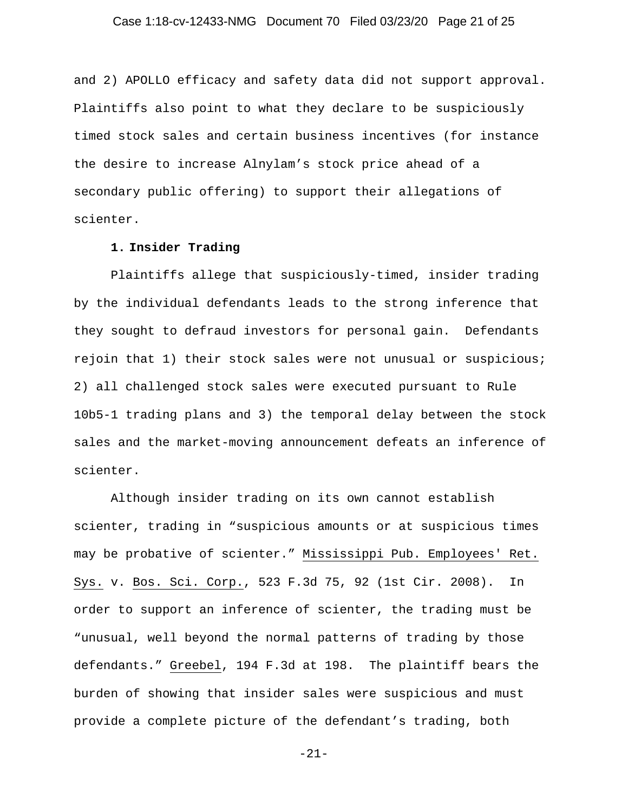# Case 1:18-cv-12433-NMG Document 70 Filed 03/23/20 Page 21 of 25

and 2) APOLLO efficacy and safety data did not support approval. Plaintiffs also point to what they declare to be suspiciously timed stock sales and certain business incentives (for instance the desire to increase Alnylam's stock price ahead of a secondary public offering) to support their allegations of scienter.

# **1. Insider Trading**

Plaintiffs allege that suspiciously-timed, insider trading by the individual defendants leads to the strong inference that they sought to defraud investors for personal gain. Defendants rejoin that 1) their stock sales were not unusual or suspicious; 2) all challenged stock sales were executed pursuant to Rule 10b5-1 trading plans and 3) the temporal delay between the stock sales and the market-moving announcement defeats an inference of scienter.

Although insider trading on its own cannot establish scienter, trading in "suspicious amounts or at suspicious times may be probative of scienter." Mississippi Pub. Employees' Ret. Sys. v. Bos. Sci. Corp., 523 F.3d 75, 92 (1st Cir. 2008). In order to support an inference of scienter, the trading must be "unusual, well beyond the normal patterns of trading by those defendants." Greebel, 194 F.3d at 198. The plaintiff bears the burden of showing that insider sales were suspicious and must provide a complete picture of the defendant's trading, both

-21-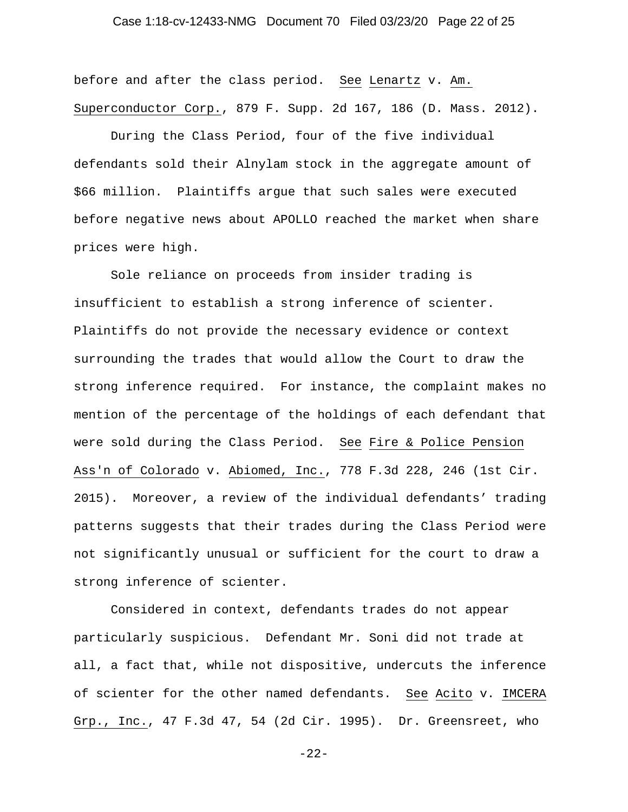# Case 1:18-cv-12433-NMG Document 70 Filed 03/23/20 Page 22 of 25

before and after the class period. See Lenartz v. Am. Superconductor Corp., 879 F. Supp. 2d 167, 186 (D. Mass. 2012).

During the Class Period, four of the five individual defendants sold their Alnylam stock in the aggregate amount of \$66 million. Plaintiffs argue that such sales were executed before negative news about APOLLO reached the market when share prices were high.

Sole reliance on proceeds from insider trading is insufficient to establish a strong inference of scienter. Plaintiffs do not provide the necessary evidence or context surrounding the trades that would allow the Court to draw the strong inference required. For instance, the complaint makes no mention of the percentage of the holdings of each defendant that were sold during the Class Period. See Fire & Police Pension Ass'n of Colorado v. Abiomed, Inc., 778 F.3d 228, 246 (1st Cir. 2015). Moreover, a review of the individual defendants' trading patterns suggests that their trades during the Class Period were not significantly unusual or sufficient for the court to draw a strong inference of scienter.

Considered in context, defendants trades do not appear particularly suspicious. Defendant Mr. Soni did not trade at all, a fact that, while not dispositive, undercuts the inference of scienter for the other named defendants. See Acito v. IMCERA Grp., Inc., 47 F.3d 47, 54 (2d Cir. 1995). Dr. Greensreet, who

-22-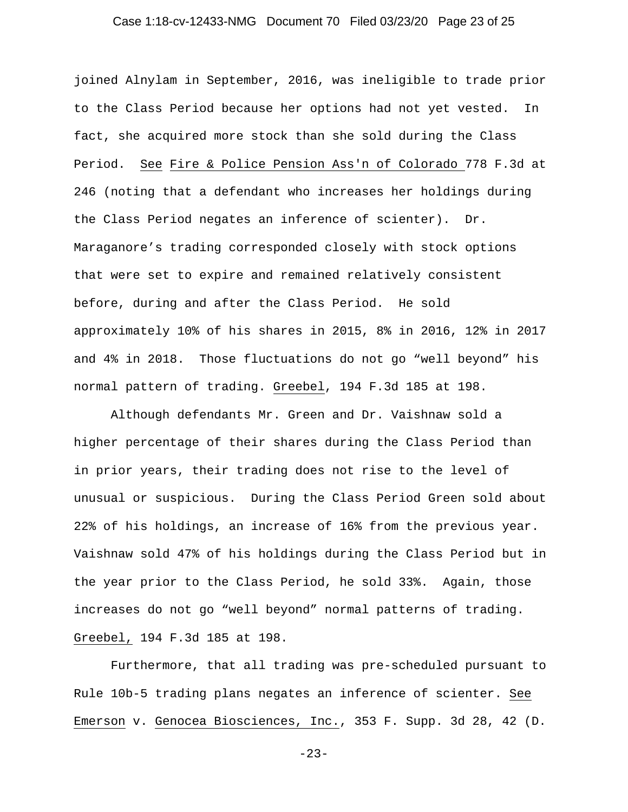# Case 1:18-cv-12433-NMG Document 70 Filed 03/23/20 Page 23 of 25

joined Alnylam in September, 2016, was ineligible to trade prior to the Class Period because her options had not yet vested. In fact, she acquired more stock than she sold during the Class Period. See Fire & Police Pension Ass'n of Colorado 778 F.3d at 246 (noting that a defendant who increases her holdings during the Class Period negates an inference of scienter). Dr. Maraganore's trading corresponded closely with stock options that were set to expire and remained relatively consistent before, during and after the Class Period. He sold approximately 10% of his shares in 2015, 8% in 2016, 12% in 2017 and 4% in 2018. Those fluctuations do not go "well beyond" his normal pattern of trading. Greebel, 194 F.3d 185 at 198.

Although defendants Mr. Green and Dr. Vaishnaw sold a higher percentage of their shares during the Class Period than in prior years, their trading does not rise to the level of unusual or suspicious. During the Class Period Green sold about 22% of his holdings, an increase of 16% from the previous year. Vaishnaw sold 47% of his holdings during the Class Period but in the year prior to the Class Period, he sold 33%. Again, those increases do not go "well beyond" normal patterns of trading. Greebel, 194 F.3d 185 at 198.

Furthermore, that all trading was pre-scheduled pursuant to Rule 10b-5 trading plans negates an inference of scienter. See Emerson v. Genocea Biosciences, Inc., 353 F. Supp. 3d 28, 42 (D.

-23-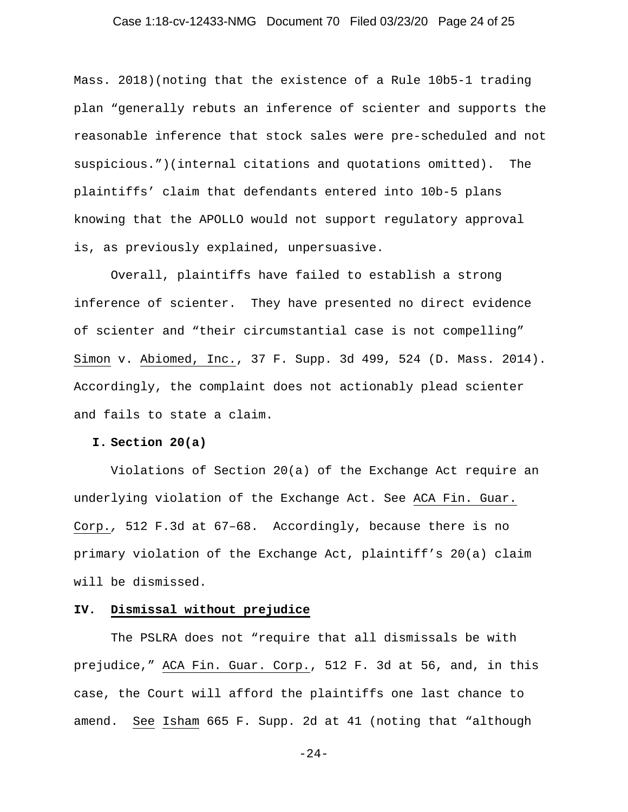# Case 1:18-cv-12433-NMG Document 70 Filed 03/23/20 Page 24 of 25

Mass. 2018)(noting that the existence of a Rule 10b5-1 trading plan "generally rebuts an inference of scienter and supports the reasonable inference that stock sales were pre-scheduled and not suspicious.")(internal citations and quotations omitted). The plaintiffs' claim that defendants entered into 10b-5 plans knowing that the APOLLO would not support regulatory approval is, as previously explained, unpersuasive.

Overall, plaintiffs have failed to establish a strong inference of scienter. They have presented no direct evidence of scienter and "their circumstantial case is not compelling" Simon v. Abiomed, Inc., 37 F. Supp. 3d 499, 524 (D. Mass. 2014). Accordingly, the complaint does not actionably plead scienter and fails to state a claim.

### **I. Section 20(a)**

Violations of Section 20(a) of the Exchange Act require an underlying violation of the Exchange Act. See ACA Fin. Guar. Corp.*,* 512 F.3d at 67–68. Accordingly, because there is no primary violation of the Exchange Act, plaintiff's 20(a) claim will be dismissed.

### **IV. Dismissal without prejudice**

The PSLRA does not "require that all dismissals be with prejudice," ACA Fin. Guar. Corp., 512 F. 3d at 56, and, in this case, the Court will afford the plaintiffs one last chance to amend. See Isham 665 F. Supp. 2d at 41 (noting that "although

-24-